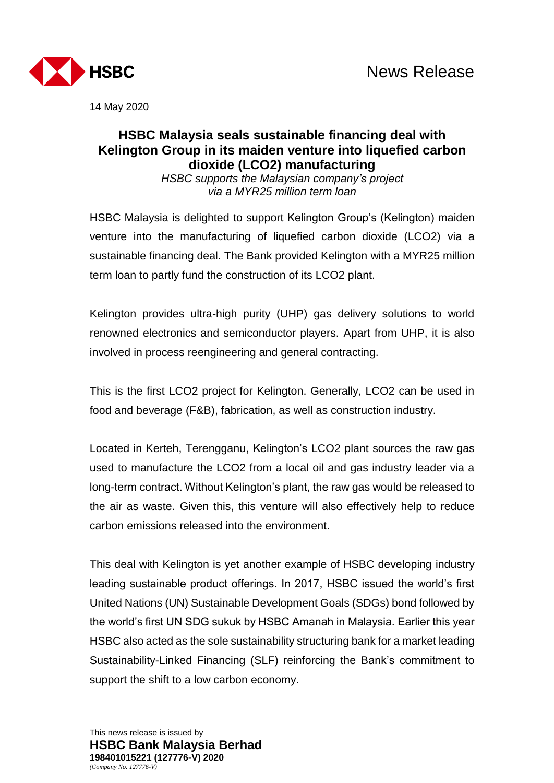

14 May 2020

# **HSBC Malaysia seals sustainable financing deal with Kelington Group in its maiden venture into liquefied carbon dioxide (LCO2) manufacturing**

*HSBC supports the Malaysian company's project via a MYR25 million term loan*

HSBC Malaysia is delighted to support Kelington Group's (Kelington) maiden venture into the manufacturing of liquefied carbon dioxide (LCO2) via a sustainable financing deal. The Bank provided Kelington with a MYR25 million term loan to partly fund the construction of its LCO2 plant.

Kelington provides ultra-high purity (UHP) gas delivery solutions to world renowned electronics and semiconductor players. Apart from UHP, it is also involved in process reengineering and general contracting.

This is the first LCO2 project for Kelington. Generally, LCO2 can be used in food and beverage (F&B), fabrication, as well as construction industry.

Located in Kerteh, Terengganu, Kelington's LCO2 plant sources the raw gas used to manufacture the LCO2 from a local oil and gas industry leader via a long-term contract. Without Kelington's plant, the raw gas would be released to the air as waste. Given this, this venture will also effectively help to reduce carbon emissions released into the environment.

This deal with Kelington is yet another example of HSBC developing industry leading sustainable product offerings. In 2017, HSBC issued the world's first United Nations (UN) Sustainable Development Goals (SDGs) bond followed by the world's first UN SDG sukuk by HSBC Amanah in Malaysia. Earlier this year HSBC also acted as the sole sustainability structuring bank for a market leading Sustainability-Linked Financing (SLF) reinforcing the Bank's commitment to support the shift to a low carbon economy.

This news release is issued by **HSBC Bank Malaysia Berhad 198401015221 (127776-V) 2020** *(Company No. 127776-V)*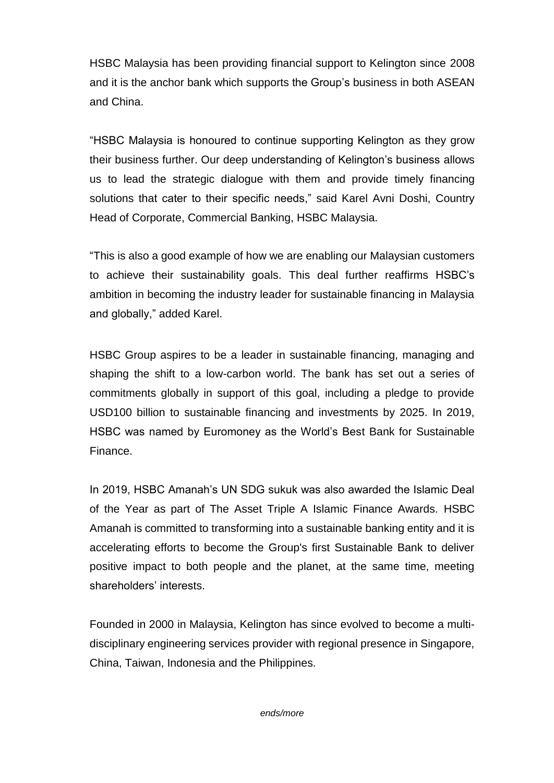HSBC Malaysia has been providing financial support to Kelington since 2008 and it is the anchor bank which supports the Group's business in both ASEAN and China.

"HSBC Malaysia is honoured to continue supporting Kelington as they grow their business further. Our deep understanding of Kelington's business allows us to lead the strategic dialogue with them and provide timely financing solutions that cater to their specific needs," said Karel Avni Doshi, Country Head of Corporate, Commercial Banking, HSBC Malaysia.

"This is also a good example of how we are enabling our Malaysian customers to achieve their sustainability goals. This deal further reaffirms HSBC's ambition in becoming the industry leader for sustainable financing in Malaysia and globally," added Karel.

HSBC Group aspires to be a leader in sustainable financing, managing and shaping the shift to a low-carbon world. The bank has set out a series of commitments globally in support of this goal, including a pledge to provide USD100 billion to sustainable financing and investments by 2025. In 2019, HSBC was named by Euromoney as the World's Best Bank for Sustainable Finance.

In 2019, HSBC Amanah's UN SDG sukuk was also awarded the Islamic Deal of the Year as part of The Asset Triple A Islamic Finance Awards. HSBC Amanah is committed to transforming into a sustainable banking entity and it is accelerating efforts to become the Group's first Sustainable Bank to deliver positive impact to both people and the planet, at the same time, meeting shareholders' interests.

Founded in 2000 in Malaysia, Kelington has since evolved to become a multidisciplinary engineering services provider with regional presence in Singapore, China, Taiwan, Indonesia and the Philippines.

*ends/more*